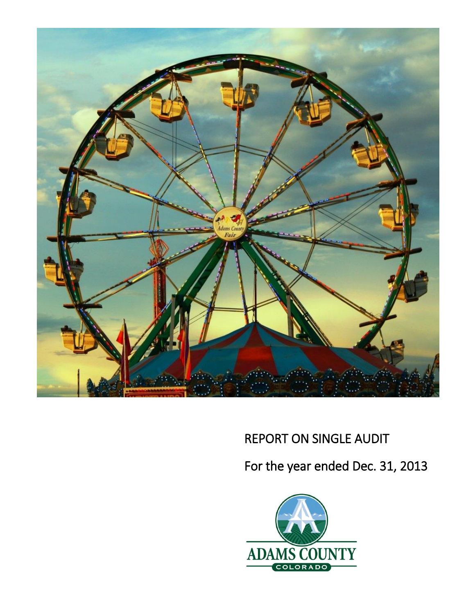

# REPORT ON SINGLE AUDIT

For the year ended Dec. 31, 2013

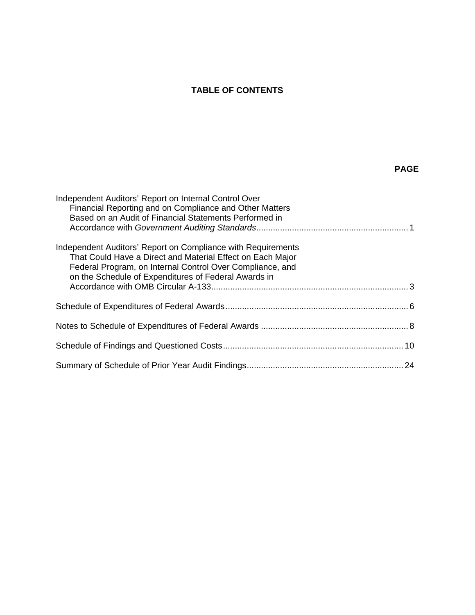## **TABLE OF CONTENTS**

## **PAGE**

| Independent Auditors' Report on Internal Control Over<br>Financial Reporting and on Compliance and Other Matters<br>Based on an Audit of Financial Statements Performed in                                                                      |  |
|-------------------------------------------------------------------------------------------------------------------------------------------------------------------------------------------------------------------------------------------------|--|
| Independent Auditors' Report on Compliance with Requirements<br>That Could Have a Direct and Material Effect on Each Major<br>Federal Program, on Internal Control Over Compliance, and<br>on the Schedule of Expenditures of Federal Awards in |  |
|                                                                                                                                                                                                                                                 |  |
|                                                                                                                                                                                                                                                 |  |
|                                                                                                                                                                                                                                                 |  |
|                                                                                                                                                                                                                                                 |  |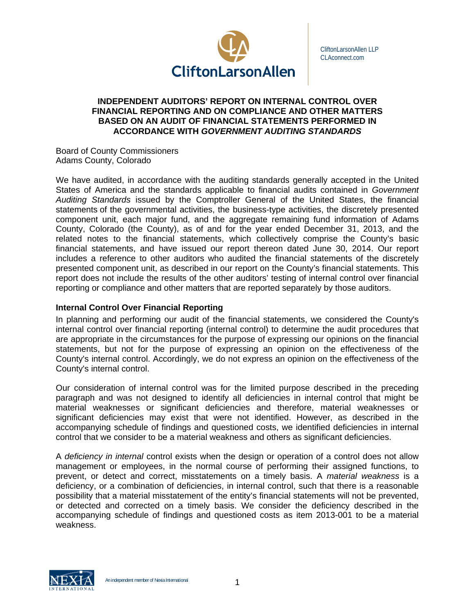

CliftonLarsonAllen LLP CLAconnect.com

## **INDEPENDENT AUDITORS' REPORT ON INTERNAL CONTROL OVER FINANCIAL REPORTING AND ON COMPLIANCE AND OTHER MATTERS BASED ON AN AUDIT OF FINANCIAL STATEMENTS PERFORMED IN ACCORDANCE WITH** *GOVERNMENT AUDITING STANDARDS*

Board of County Commissioners Adams County, Colorado

We have audited, in accordance with the auditing standards generally accepted in the United States of America and the standards applicable to financial audits contained in *Government Auditing Standards* issued by the Comptroller General of the United States, the financial statements of the governmental activities, the business-type activities, the discretely presented component unit, each major fund, and the aggregate remaining fund information of Adams County, Colorado (the County), as of and for the year ended December 31, 2013, and the related notes to the financial statements, which collectively comprise the County's basic financial statements, and have issued our report thereon dated June 30, 2014. Our report includes a reference to other auditors who audited the financial statements of the discretely presented component unit, as described in our report on the County's financial statements. This report does not include the results of the other auditors' testing of internal control over financial reporting or compliance and other matters that are reported separately by those auditors.

## **Internal Control Over Financial Reporting**

In planning and performing our audit of the financial statements, we considered the County's internal control over financial reporting (internal control) to determine the audit procedures that are appropriate in the circumstances for the purpose of expressing our opinions on the financial statements, but not for the purpose of expressing an opinion on the effectiveness of the County's internal control. Accordingly, we do not express an opinion on the effectiveness of the County's internal control.

Our consideration of internal control was for the limited purpose described in the preceding paragraph and was not designed to identify all deficiencies in internal control that might be material weaknesses or significant deficiencies and therefore, material weaknesses or significant deficiencies may exist that were not identified. However, as described in the accompanying schedule of findings and questioned costs, we identified deficiencies in internal control that we consider to be a material weakness and others as significant deficiencies.

A *deficiency in internal* control exists when the design or operation of a control does not allow management or employees, in the normal course of performing their assigned functions, to prevent, or detect and correct, misstatements on a timely basis. A *material weakness* is a deficiency, or a combination of deficiencies, in internal control, such that there is a reasonable possibility that a material misstatement of the entity's financial statements will not be prevented, or detected and corrected on a timely basis. We consider the deficiency described in the accompanying schedule of findings and questioned costs as item 2013-001 to be a material weakness.

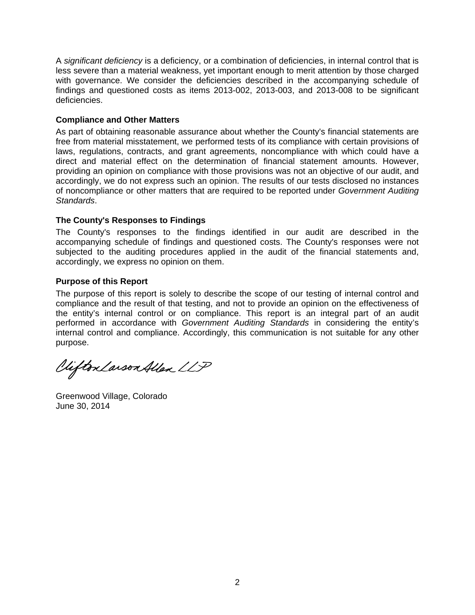A *significant deficiency* is a deficiency, or a combination of deficiencies, in internal control that is less severe than a material weakness, yet important enough to merit attention by those charged with governance. We consider the deficiencies described in the accompanying schedule of findings and questioned costs as items 2013-002, 2013-003, and 2013-008 to be significant deficiencies.

## **Compliance and Other Matters**

As part of obtaining reasonable assurance about whether the County's financial statements are free from material misstatement, we performed tests of its compliance with certain provisions of laws, regulations, contracts, and grant agreements, noncompliance with which could have a direct and material effect on the determination of financial statement amounts. However, providing an opinion on compliance with those provisions was not an objective of our audit, and accordingly, we do not express such an opinion. The results of our tests disclosed no instances of noncompliance or other matters that are required to be reported under *Government Auditing Standards*.

## **The County's Responses to Findings**

The County's responses to the findings identified in our audit are described in the accompanying schedule of findings and questioned costs. The County's responses were not subjected to the auditing procedures applied in the audit of the financial statements and, accordingly, we express no opinion on them.

## **Purpose of this Report**

The purpose of this report is solely to describe the scope of our testing of internal control and compliance and the result of that testing, and not to provide an opinion on the effectiveness of the entity's internal control or on compliance. This report is an integral part of an audit performed in accordance with *Government Auditing Standards* in considering the entity's internal control and compliance. Accordingly, this communication is not suitable for any other purpose.

Clifton Larson Allen LLP

Greenwood Village, Colorado June 30, 2014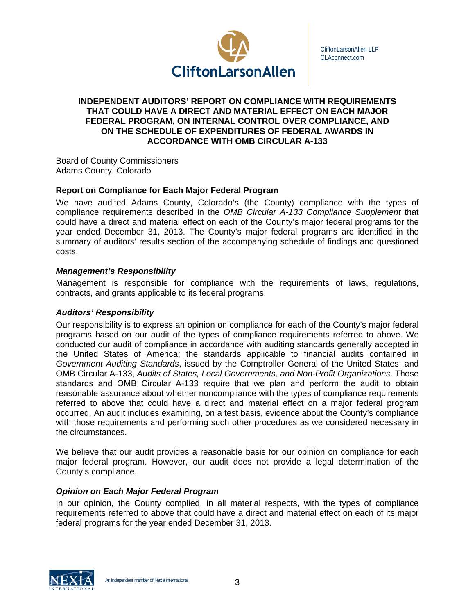

CliftonLarsonAllen LLP CLAconnect.com

## **INDEPENDENT AUDITORS' REPORT ON COMPLIANCE WITH REQUIREMENTS THAT COULD HAVE A DIRECT AND MATERIAL EFFECT ON EACH MAJOR FEDERAL PROGRAM, ON INTERNAL CONTROL OVER COMPLIANCE, AND ON THE SCHEDULE OF EXPENDITURES OF FEDERAL AWARDS IN ACCORDANCE WITH OMB CIRCULAR A-133**

Board of County Commissioners Adams County, Colorado

## **Report on Compliance for Each Major Federal Program**

We have audited Adams County, Colorado's (the County) compliance with the types of compliance requirements described in the *OMB Circular A-133 Compliance Supplement* that could have a direct and material effect on each of the County's major federal programs for the year ended December 31, 2013. The County's major federal programs are identified in the summary of auditors' results section of the accompanying schedule of findings and questioned costs.

## *Management's Responsibility*

Management is responsible for compliance with the requirements of laws, regulations, contracts, and grants applicable to its federal programs.

## *Auditors' Responsibility*

Our responsibility is to express an opinion on compliance for each of the County's major federal programs based on our audit of the types of compliance requirements referred to above. We conducted our audit of compliance in accordance with auditing standards generally accepted in the United States of America; the standards applicable to financial audits contained in *Government Auditing Standards*, issued by the Comptroller General of the United States; and OMB Circular A-133, *Audits of States, Local Governments, and Non-Profit Organizations*. Those standards and OMB Circular A-133 require that we plan and perform the audit to obtain reasonable assurance about whether noncompliance with the types of compliance requirements referred to above that could have a direct and material effect on a major federal program occurred. An audit includes examining, on a test basis, evidence about the County's compliance with those requirements and performing such other procedures as we considered necessary in the circumstances.

We believe that our audit provides a reasonable basis for our opinion on compliance for each major federal program. However, our audit does not provide a legal determination of the County's compliance.

## *Opinion on Each Major Federal Program*

In our opinion, the County complied, in all material respects, with the types of compliance requirements referred to above that could have a direct and material effect on each of its major federal programs for the year ended December 31, 2013.



An independent member of Nexia International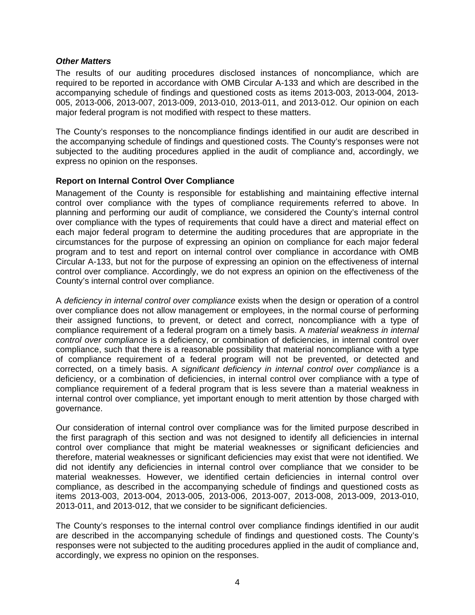## *Other Matters*

The results of our auditing procedures disclosed instances of noncompliance, which are required to be reported in accordance with OMB Circular A-133 and which are described in the accompanying schedule of findings and questioned costs as items 2013-003, 2013-004, 2013- 005, 2013-006, 2013-007, 2013-009, 2013-010, 2013-011, and 2013-012. Our opinion on each major federal program is not modified with respect to these matters.

The County's responses to the noncompliance findings identified in our audit are described in the accompanying schedule of findings and questioned costs. The County's responses were not subjected to the auditing procedures applied in the audit of compliance and, accordingly, we express no opinion on the responses.

## **Report on Internal Control Over Compliance**

Management of the County is responsible for establishing and maintaining effective internal control over compliance with the types of compliance requirements referred to above. In planning and performing our audit of compliance, we considered the County's internal control over compliance with the types of requirements that could have a direct and material effect on each major federal program to determine the auditing procedures that are appropriate in the circumstances for the purpose of expressing an opinion on compliance for each major federal program and to test and report on internal control over compliance in accordance with OMB Circular A-133, but not for the purpose of expressing an opinion on the effectiveness of internal control over compliance. Accordingly, we do not express an opinion on the effectiveness of the County's internal control over compliance.

A *deficiency in internal control over compliance* exists when the design or operation of a control over compliance does not allow management or employees, in the normal course of performing their assigned functions, to prevent, or detect and correct, noncompliance with a type of compliance requirement of a federal program on a timely basis. A *material weakness in internal control over compliance* is a deficiency, or combination of deficiencies, in internal control over compliance, such that there is a reasonable possibility that material noncompliance with a type of compliance requirement of a federal program will not be prevented, or detected and corrected, on a timely basis. A *significant deficiency in internal control over compliance* is a deficiency, or a combination of deficiencies, in internal control over compliance with a type of compliance requirement of a federal program that is less severe than a material weakness in internal control over compliance, yet important enough to merit attention by those charged with governance.

Our consideration of internal control over compliance was for the limited purpose described in the first paragraph of this section and was not designed to identify all deficiencies in internal control over compliance that might be material weaknesses or significant deficiencies and therefore, material weaknesses or significant deficiencies may exist that were not identified. We did not identify any deficiencies in internal control over compliance that we consider to be material weaknesses. However, we identified certain deficiencies in internal control over compliance, as described in the accompanying schedule of findings and questioned costs as items 2013-003, 2013-004, 2013-005, 2013-006, 2013-007, 2013-008, 2013-009, 2013-010, 2013-011, and 2013-012, that we consider to be significant deficiencies.

The County's responses to the internal control over compliance findings identified in our audit are described in the accompanying schedule of findings and questioned costs. The County's responses were not subjected to the auditing procedures applied in the audit of compliance and, accordingly, we express no opinion on the responses.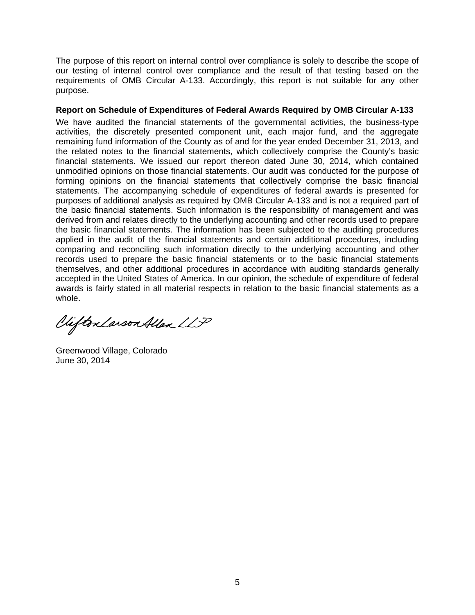The purpose of this report on internal control over compliance is solely to describe the scope of our testing of internal control over compliance and the result of that testing based on the requirements of OMB Circular A-133. Accordingly, this report is not suitable for any other purpose.

## **Report on Schedule of Expenditures of Federal Awards Required by OMB Circular A-133**

We have audited the financial statements of the governmental activities, the business-type activities, the discretely presented component unit, each major fund, and the aggregate remaining fund information of the County as of and for the year ended December 31, 2013, and the related notes to the financial statements, which collectively comprise the County's basic financial statements. We issued our report thereon dated June 30, 2014, which contained unmodified opinions on those financial statements. Our audit was conducted for the purpose of forming opinions on the financial statements that collectively comprise the basic financial statements. The accompanying schedule of expenditures of federal awards is presented for purposes of additional analysis as required by OMB Circular A-133 and is not a required part of the basic financial statements. Such information is the responsibility of management and was derived from and relates directly to the underlying accounting and other records used to prepare the basic financial statements. The information has been subjected to the auditing procedures applied in the audit of the financial statements and certain additional procedures, including comparing and reconciling such information directly to the underlying accounting and other records used to prepare the basic financial statements or to the basic financial statements themselves, and other additional procedures in accordance with auditing standards generally accepted in the United States of America. In our opinion, the schedule of expenditure of federal awards is fairly stated in all material respects in relation to the basic financial statements as a whole.

Vifton Larson Allen LLP

Greenwood Village, Colorado June 30, 2014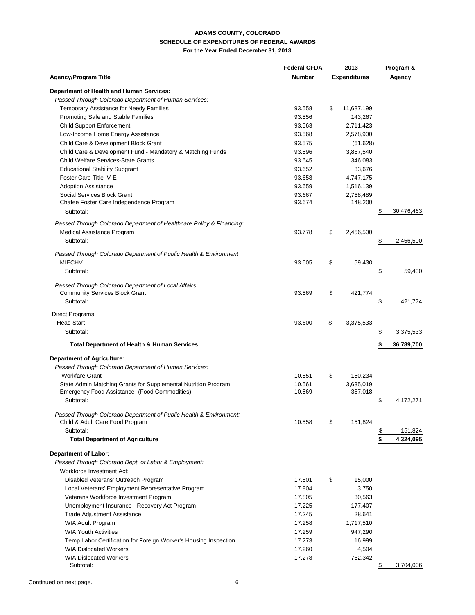#### **ADAMS COUNTY, COLORADO SCHEDULE OF EXPENDITURES OF FEDERAL AWARDS For the Year Ended December 31, 2013**

|                                                                                                    | <b>Federal CFDA</b> | 2013                 | Program &        |
|----------------------------------------------------------------------------------------------------|---------------------|----------------------|------------------|
| <b>Agency/Program Title</b>                                                                        | <b>Number</b>       | <b>Expenditures</b>  | Agency           |
| Department of Health and Human Services:                                                           |                     |                      |                  |
| Passed Through Colorado Department of Human Services:                                              |                     |                      |                  |
| Temporary Assistance for Needy Families                                                            | 93.558              | \$<br>11,687,199     |                  |
| Promoting Safe and Stable Families                                                                 | 93.556              | 143,267              |                  |
|                                                                                                    | 93.563              |                      |                  |
| <b>Child Support Enforcement</b>                                                                   | 93.568              | 2,711,423            |                  |
| Low-Income Home Energy Assistance                                                                  |                     | 2,578,900            |                  |
| Child Care & Development Block Grant<br>Child Care & Development Fund - Mandatory & Matching Funds | 93.575              | (61, 628)            |                  |
|                                                                                                    | 93.596              | 3,867,540            |                  |
| Child Welfare Services-State Grants                                                                | 93.645              | 346,083              |                  |
| <b>Educational Stability Subgrant</b>                                                              | 93.652              | 33,676               |                  |
| <b>Foster Care Title IV-E</b>                                                                      | 93.658              | 4,747,175            |                  |
| <b>Adoption Assistance</b>                                                                         | 93.659              | 1,516,139            |                  |
| Social Services Block Grant<br>Chafee Foster Care Independence Program                             | 93.667<br>93.674    | 2,758,489<br>148,200 |                  |
|                                                                                                    |                     |                      |                  |
| Subtotal:                                                                                          |                     |                      | \$<br>30,476,463 |
| Passed Through Colorado Department of Healthcare Policy & Financing:                               |                     |                      |                  |
| Medical Assistance Program                                                                         | 93.778              | \$<br>2,456,500      |                  |
| Subtotal:                                                                                          |                     |                      | \$<br>2,456,500  |
|                                                                                                    |                     |                      |                  |
| Passed Through Colorado Department of Public Health & Environment<br><b>MIECHV</b>                 |                     |                      |                  |
|                                                                                                    | 93.505              | \$<br>59,430         |                  |
| Subtotal:                                                                                          |                     |                      | \$<br>59,430     |
| Passed Through Colorado Department of Local Affairs:                                               |                     |                      |                  |
| <b>Community Services Block Grant</b>                                                              | 93.569              | \$<br>421,774        |                  |
| Subtotal:                                                                                          |                     |                      | \$<br>421,774    |
|                                                                                                    |                     |                      |                  |
| Direct Programs:                                                                                   |                     |                      |                  |
| <b>Head Start</b>                                                                                  | 93.600              | \$<br>3,375,533      |                  |
| Subtotal:                                                                                          |                     |                      | \$<br>3,375,533  |
| <b>Total Department of Health &amp; Human Services</b>                                             |                     |                      | 36,789,700       |
|                                                                                                    |                     |                      |                  |
| <b>Department of Agriculture:</b>                                                                  |                     |                      |                  |
| Passed Through Colorado Department of Human Services:                                              |                     |                      |                  |
| <b>Workfare Grant</b>                                                                              | 10.551              | \$<br>150,234        |                  |
| State Admin Matching Grants for Supplemental Nutrition Program                                     | 10.561              | 3,635,019            |                  |
| Emergency Food Assistance -(Food Commodities)                                                      | 10.569              | 387,018              |                  |
| Subtotal:                                                                                          |                     |                      | \$<br>4,172,271  |
| Passed Through Colorado Department of Public Health & Environment:                                 |                     |                      |                  |
| Child & Adult Care Food Program                                                                    | 10.558              | \$<br>151,824        |                  |
| Subtotal:                                                                                          |                     |                      | \$<br>151,824    |
| <b>Total Department of Agriculture</b>                                                             |                     |                      | \$<br>4,324,095  |
|                                                                                                    |                     |                      |                  |
| <b>Department of Labor:</b>                                                                        |                     |                      |                  |
| Passed Through Colorado Dept. of Labor & Employment:                                               |                     |                      |                  |
| Workforce Investment Act:                                                                          |                     |                      |                  |
| Disabled Veterans' Outreach Program                                                                | 17.801              | \$<br>15,000         |                  |
| Local Veterans' Employment Representative Program                                                  | 17.804              | 3,750                |                  |
| Veterans Workforce Investment Program                                                              | 17.805              | 30,563               |                  |
| Unemployment Insurance - Recovery Act Program                                                      | 17.225              | 177,407              |                  |
| Trade Adjustment Assistance                                                                        | 17.245              | 28,641               |                  |
| <b>WIA Adult Program</b>                                                                           | 17.258              | 1,717,510            |                  |
| <b>WIA Youth Activities</b>                                                                        | 17.259              | 947,290              |                  |
| Temp Labor Certification for Foreign Worker's Housing Inspection                                   | 17.273              | 16,999               |                  |
| <b>WIA Dislocated Workers</b>                                                                      | 17.260              | 4,504                |                  |
| <b>WIA Dislocated Workers</b>                                                                      | 17.278              | 762,342              |                  |
| Subtotal:                                                                                          |                     |                      | \$<br>3,704,006  |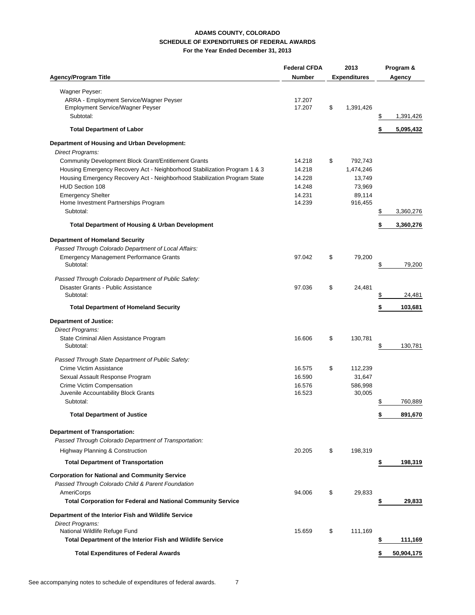#### **ADAMS COUNTY, COLORADO SCHEDULE OF EXPENDITURES OF FEDERAL AWARDS For the Year Ended December 31, 2013**

|                                                                           | <b>Federal CFDA</b> |    | 2013                |        | Program &  |
|---------------------------------------------------------------------------|---------------------|----|---------------------|--------|------------|
| <b>Agency/Program Title</b>                                               | <b>Number</b>       |    | <b>Expenditures</b> | Agency |            |
| Wagner Peyser:                                                            |                     |    |                     |        |            |
| ARRA - Employment Service/Wagner Peyser                                   | 17.207              |    |                     |        |            |
| Employment Service/Wagner Peyser                                          | 17.207              | \$ | 1,391,426           |        |            |
| Subtotal:                                                                 |                     |    |                     | \$     | 1,391,426  |
| <b>Total Department of Labor</b>                                          |                     |    |                     | \$     | 5,095,432  |
| Department of Housing and Urban Development:                              |                     |    |                     |        |            |
| Direct Programs:                                                          |                     |    |                     |        |            |
| Community Development Block Grant/Entitlement Grants                      | 14.218              | \$ | 792,743             |        |            |
| Housing Emergency Recovery Act - Neighborhood Stabilization Program 1 & 3 | 14.218              |    | 1,474,246           |        |            |
| Housing Emergency Recovery Act - Neighborhood Stabilization Program State | 14.228              |    | 13,749              |        |            |
| <b>HUD Section 108</b>                                                    | 14.248              |    | 73,969              |        |            |
| <b>Emergency Shelter</b>                                                  | 14.231              |    | 89,114              |        |            |
| Home Investment Partnerships Program                                      | 14.239              |    | 916,455             |        |            |
| Subtotal:                                                                 |                     |    |                     |        | 3,360,276  |
| <b>Total Department of Housing &amp; Urban Development</b>                |                     |    |                     | \$     | 3,360,276  |
| <b>Department of Homeland Security</b>                                    |                     |    |                     |        |            |
| Passed Through Colorado Department of Local Affairs:                      |                     |    |                     |        |            |
| <b>Emergency Management Performance Grants</b>                            | 97.042              | \$ | 79,200              |        |            |
| Subtotal:                                                                 |                     |    |                     | \$     | 79,200     |
| Passed Through Colorado Department of Public Safety:                      |                     |    |                     |        |            |
| Disaster Grants - Public Assistance                                       | 97.036              | \$ | 24,481              |        |            |
| Subtotal:                                                                 |                     |    |                     | \$     | 24,481     |
| <b>Total Department of Homeland Security</b>                              |                     |    |                     | \$     | 103,681    |
| <b>Department of Justice:</b>                                             |                     |    |                     |        |            |
| Direct Programs:                                                          |                     |    |                     |        |            |
| State Criminal Alien Assistance Program                                   | 16.606              | \$ | 130,781             |        |            |
| Subtotal:                                                                 |                     |    |                     | \$     | 130,781    |
| Passed Through State Department of Public Safety:                         |                     |    |                     |        |            |
| Crime Victim Assistance                                                   | 16.575              | \$ | 112,239             |        |            |
| Sexual Assault Response Program                                           | 16.590              |    | 31,647              |        |            |
| Crime Victim Compensation                                                 | 16.576              |    | 586,998             |        |            |
| Juvenile Accountability Block Grants                                      | 16.523              |    | 30,005              |        |            |
| Subtotal:                                                                 |                     |    |                     | \$     | 760,889    |
| <b>Total Department of Justice</b>                                        |                     |    |                     | \$     | 891,670    |
| <b>Department of Transportation:</b>                                      |                     |    |                     |        |            |
| Passed Through Colorado Department of Transportation:                     |                     |    |                     |        |            |
| Highway Planning & Construction                                           | 20.205              | \$ | 198,319             |        |            |
| <b>Total Department of Transportation</b>                                 |                     |    |                     | \$     | 198,319    |
| <b>Corporation for National and Community Service</b>                     |                     |    |                     |        |            |
| Passed Through Colorado Child & Parent Foundation                         |                     |    |                     |        |            |
| <b>AmeriCorps</b>                                                         | 94.006              | \$ | 29,833              |        |            |
| <b>Total Corporation for Federal and National Community Service</b>       |                     |    |                     |        | 29,833     |
| Department of the Interior Fish and Wildlife Service                      |                     |    |                     |        |            |
| Direct Programs:                                                          |                     |    |                     |        |            |
| National Wildlife Refuge Fund                                             | 15.659              | \$ | 111,169             |        |            |
| Total Department of the Interior Fish and Wildlife Service                |                     |    |                     |        | 111,169    |
| <b>Total Expenditures of Federal Awards</b>                               |                     |    |                     | \$     | 50,904,175 |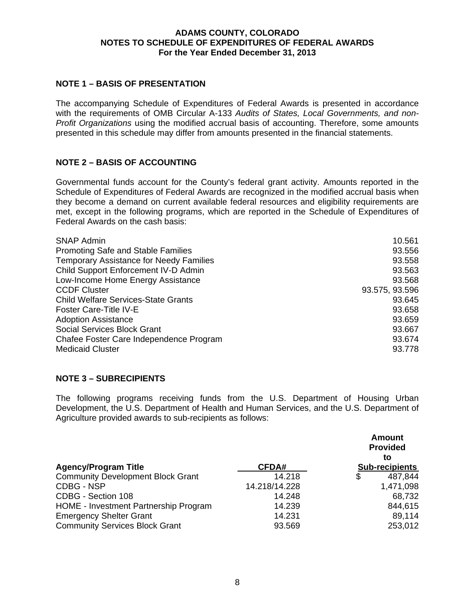## **ADAMS COUNTY, COLORADO NOTES TO SCHEDULE OF EXPENDITURES OF FEDERAL AWARDS For the Year Ended December 31, 2013**

## **NOTE 1 – BASIS OF PRESENTATION**

The accompanying Schedule of Expenditures of Federal Awards is presented in accordance with the requirements of OMB Circular A-133 *Audits of States, Local Governments, and non-Profit Organizations* using the modified accrual basis of accounting. Therefore, some amounts presented in this schedule may differ from amounts presented in the financial statements.

## **NOTE 2 – BASIS OF ACCOUNTING**

Governmental funds account for the County's federal grant activity. Amounts reported in the Schedule of Expenditures of Federal Awards are recognized in the modified accrual basis when they become a demand on current available federal resources and eligibility requirements are met, except in the following programs, which are reported in the Schedule of Expenditures of Federal Awards on the cash basis:

| <b>SNAP Admin</b>                              | 10.561         |
|------------------------------------------------|----------------|
| <b>Promoting Safe and Stable Families</b>      | 93.556         |
| <b>Temporary Assistance for Needy Families</b> | 93.558         |
| Child Support Enforcement IV-D Admin           | 93.563         |
| Low-Income Home Energy Assistance              | 93.568         |
| <b>CCDF Cluster</b>                            | 93.575, 93.596 |
| <b>Child Welfare Services-State Grants</b>     | 93.645         |
| <b>Foster Care-Title IV-E</b>                  | 93.658         |
| <b>Adoption Assistance</b>                     | 93.659         |
| <b>Social Services Block Grant</b>             | 93.667         |
| Chafee Foster Care Independence Program        | 93.674         |
| <b>Medicaid Cluster</b>                        | 93.778         |

## **NOTE 3 – SUBRECIPIENTS**

The following programs receiving funds from the U.S. Department of Housing Urban Development, the U.S. Department of Health and Human Services, and the U.S. Department of Agriculture provided awards to sub-recipients as follows:

|                                          |               | <b>Amount</b><br><b>Provided</b><br>to |
|------------------------------------------|---------------|----------------------------------------|
| <b>Agency/Program Title</b>              | CFDA#         | <b>Sub-recipients</b>                  |
| <b>Community Development Block Grant</b> | 14.218        | \$<br>487,844                          |
| CDBG - NSP                               | 14.218/14.228 | 1,471,098                              |
| CDBG - Section 108                       | 14.248        | 68,732                                 |
| HOME - Investment Partnership Program    | 14.239        | 844,615                                |
| <b>Emergency Shelter Grant</b>           | 14.231        | 89,114                                 |
| <b>Community Services Block Grant</b>    | 93.569        | 253,012                                |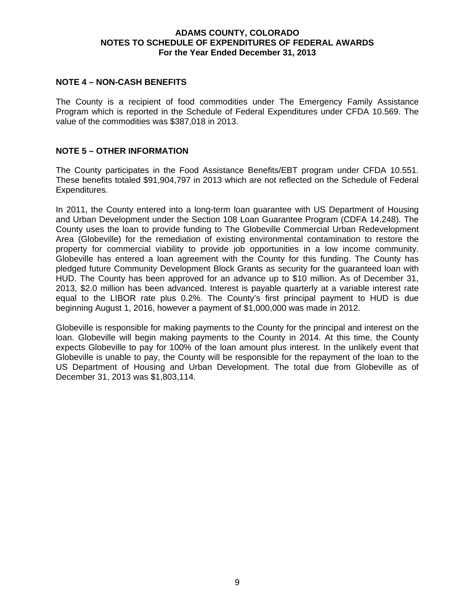## **ADAMS COUNTY, COLORADO NOTES TO SCHEDULE OF EXPENDITURES OF FEDERAL AWARDS For the Year Ended December 31, 2013**

## **NOTE 4 – NON-CASH BENEFITS**

The County is a recipient of food commodities under The Emergency Family Assistance Program which is reported in the Schedule of Federal Expenditures under CFDA 10.569. The value of the commodities was \$387,018 in 2013.

## **NOTE 5 – OTHER INFORMATION**

The County participates in the Food Assistance Benefits/EBT program under CFDA 10.551. These benefits totaled \$91,904,797 in 2013 which are not reflected on the Schedule of Federal Expenditures.

In 2011, the County entered into a long-term loan guarantee with US Department of Housing and Urban Development under the Section 108 Loan Guarantee Program (CDFA 14.248). The County uses the loan to provide funding to The Globeville Commercial Urban Redevelopment Area (Globeville) for the remediation of existing environmental contamination to restore the property for commercial viability to provide job opportunities in a low income community. Globeville has entered a loan agreement with the County for this funding. The County has pledged future Community Development Block Grants as security for the guaranteed loan with HUD. The County has been approved for an advance up to \$10 million. As of December 31, 2013, \$2.0 million has been advanced. Interest is payable quarterly at a variable interest rate equal to the LIBOR rate plus 0.2%. The County's first principal payment to HUD is due beginning August 1, 2016, however a payment of \$1,000,000 was made in 2012.

Globeville is responsible for making payments to the County for the principal and interest on the loan. Globeville will begin making payments to the County in 2014. At this time, the County expects Globeville to pay for 100% of the loan amount plus interest. In the unlikely event that Globeville is unable to pay, the County will be responsible for the repayment of the loan to the US Department of Housing and Urban Development. The total due from Globeville as of December 31, 2013 was \$1,803,114.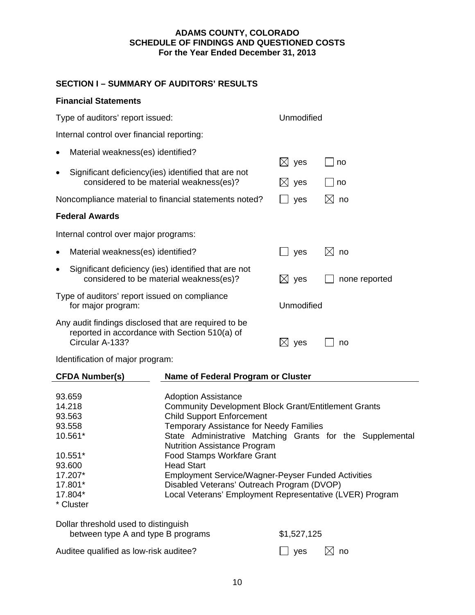## **SECTION I – SUMMARY OF AUDITORS' RESULTS**

Ĭ.

|                                                                                                                          | <b>Financial Statements</b>                                                                                          |                                                                                                                                                                                                                                                                                                                                                                                                                                                                                                                      |                 |                   |                   |  |
|--------------------------------------------------------------------------------------------------------------------------|----------------------------------------------------------------------------------------------------------------------|----------------------------------------------------------------------------------------------------------------------------------------------------------------------------------------------------------------------------------------------------------------------------------------------------------------------------------------------------------------------------------------------------------------------------------------------------------------------------------------------------------------------|-----------------|-------------------|-------------------|--|
| Type of auditors' report issued:                                                                                         |                                                                                                                      |                                                                                                                                                                                                                                                                                                                                                                                                                                                                                                                      | Unmodified      |                   |                   |  |
|                                                                                                                          | Internal control over financial reporting:                                                                           |                                                                                                                                                                                                                                                                                                                                                                                                                                                                                                                      |                 |                   |                   |  |
|                                                                                                                          | Material weakness(es) identified?                                                                                    |                                                                                                                                                                                                                                                                                                                                                                                                                                                                                                                      | $\boxtimes$ yes |                   |                   |  |
| $\bullet$                                                                                                                | Significant deficiency(ies) identified that are not<br>considered to be material weakness(es)?                       |                                                                                                                                                                                                                                                                                                                                                                                                                                                                                                                      |                 | $\boxtimes$ yes   | no<br>no          |  |
|                                                                                                                          |                                                                                                                      | Noncompliance material to financial statements noted?                                                                                                                                                                                                                                                                                                                                                                                                                                                                |                 | yes               | $\boxtimes$<br>no |  |
|                                                                                                                          | <b>Federal Awards</b>                                                                                                |                                                                                                                                                                                                                                                                                                                                                                                                                                                                                                                      |                 |                   |                   |  |
|                                                                                                                          | Internal control over major programs:                                                                                |                                                                                                                                                                                                                                                                                                                                                                                                                                                                                                                      |                 |                   |                   |  |
| ٠                                                                                                                        | Material weakness(es) identified?                                                                                    |                                                                                                                                                                                                                                                                                                                                                                                                                                                                                                                      |                 | yes               | $\boxtimes$<br>no |  |
| $\bullet$                                                                                                                | Significant deficiency (ies) identified that are not<br>considered to be material weakness(es)?                      |                                                                                                                                                                                                                                                                                                                                                                                                                                                                                                                      |                 | $\boxtimes$ yes   | none reported     |  |
| Type of auditors' report issued on compliance<br>for major program:                                                      |                                                                                                                      |                                                                                                                                                                                                                                                                                                                                                                                                                                                                                                                      | Unmodified      |                   |                   |  |
| Any audit findings disclosed that are required to be<br>reported in accordance with Section 510(a) of<br>Circular A-133? |                                                                                                                      |                                                                                                                                                                                                                                                                                                                                                                                                                                                                                                                      | $\boxtimes$ yes |                   | no                |  |
|                                                                                                                          | Identification of major program:                                                                                     |                                                                                                                                                                                                                                                                                                                                                                                                                                                                                                                      |                 |                   |                   |  |
|                                                                                                                          | <b>CFDA Number(s)</b>                                                                                                | Name of Federal Program or Cluster                                                                                                                                                                                                                                                                                                                                                                                                                                                                                   |                 |                   |                   |  |
|                                                                                                                          | 93.659<br>14.218<br>93.563<br>93.558<br>10.561*<br>$10.551*$<br>93.600<br>17.207*<br>17.801*<br>17.804*<br>* Cluster | <b>Adoption Assistance</b><br><b>Community Development Block Grant/Entitlement Grants</b><br><b>Child Support Enforcement</b><br><b>Temporary Assistance for Needy Families</b><br>State Administrative Matching Grants for the Supplemental<br><b>Nutrition Assistance Program</b><br><b>Food Stamps Workfare Grant</b><br><b>Head Start</b><br><b>Employment Service/Wagner-Peyser Funded Activities</b><br>Disabled Veterans' Outreach Program (DVOP)<br>Local Veterans' Employment Representative (LVER) Program |                 |                   |                   |  |
|                                                                                                                          | Dollar threshold used to distinguish<br>between type A and type B programs                                           |                                                                                                                                                                                                                                                                                                                                                                                                                                                                                                                      |                 | \$1,527,125       |                   |  |
| Auditee qualified as low-risk auditee?                                                                                   |                                                                                                                      |                                                                                                                                                                                                                                                                                                                                                                                                                                                                                                                      | yes             | $\boxtimes$<br>no |                   |  |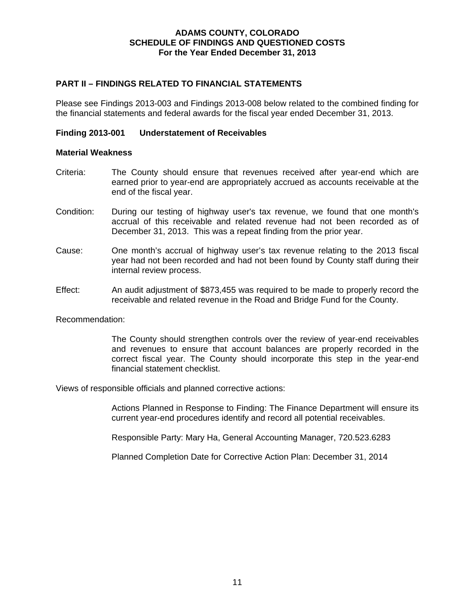## **PART II – FINDINGS RELATED TO FINANCIAL STATEMENTS**

Please see Findings 2013-003 and Findings 2013-008 below related to the combined finding for the financial statements and federal awards for the fiscal year ended December 31, 2013.

## **Finding 2013-001 Understatement of Receivables**

#### **Material Weakness**

- Criteria: The County should ensure that revenues received after year-end which are earned prior to year-end are appropriately accrued as accounts receivable at the end of the fiscal year.
- Condition: During our testing of highway user's tax revenue, we found that one month's accrual of this receivable and related revenue had not been recorded as of December 31, 2013. This was a repeat finding from the prior year.
- Cause: One month's accrual of highway user's tax revenue relating to the 2013 fiscal year had not been recorded and had not been found by County staff during their internal review process.
- Effect: An audit adjustment of \$873,455 was required to be made to properly record the receivable and related revenue in the Road and Bridge Fund for the County.

Recommendation:

The County should strengthen controls over the review of year-end receivables and revenues to ensure that account balances are properly recorded in the correct fiscal year. The County should incorporate this step in the year-end financial statement checklist.

Views of responsible officials and planned corrective actions:

Actions Planned in Response to Finding: The Finance Department will ensure its current year-end procedures identify and record all potential receivables.

Responsible Party: Mary Ha, General Accounting Manager, 720.523.6283

Planned Completion Date for Corrective Action Plan: December 31, 2014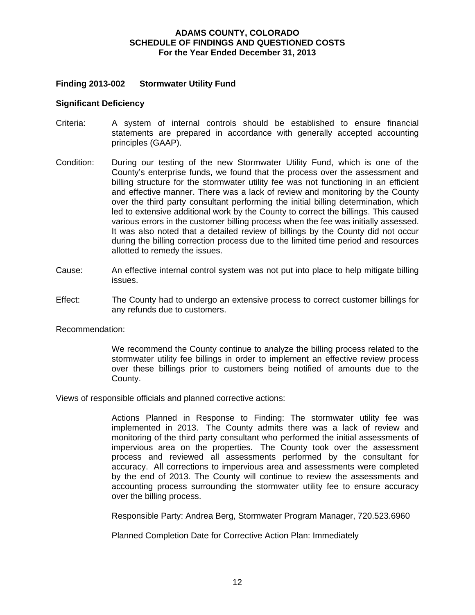## **Finding 2013-002 Stormwater Utility Fund**

#### **Significant Deficiency**

- Criteria: A system of internal controls should be established to ensure financial statements are prepared in accordance with generally accepted accounting principles (GAAP).
- Condition: During our testing of the new Stormwater Utility Fund, which is one of the County's enterprise funds, we found that the process over the assessment and billing structure for the stormwater utility fee was not functioning in an efficient and effective manner. There was a lack of review and monitoring by the County over the third party consultant performing the initial billing determination, which led to extensive additional work by the County to correct the billings. This caused various errors in the customer billing process when the fee was initially assessed. It was also noted that a detailed review of billings by the County did not occur during the billing correction process due to the limited time period and resources allotted to remedy the issues.
- Cause: An effective internal control system was not put into place to help mitigate billing issues.
- Effect: The County had to undergo an extensive process to correct customer billings for any refunds due to customers.

Recommendation:

We recommend the County continue to analyze the billing process related to the stormwater utility fee billings in order to implement an effective review process over these billings prior to customers being notified of amounts due to the County.

Views of responsible officials and planned corrective actions:

Actions Planned in Response to Finding: The stormwater utility fee was implemented in 2013. The County admits there was a lack of review and monitoring of the third party consultant who performed the initial assessments of impervious area on the properties. The County took over the assessment process and reviewed all assessments performed by the consultant for accuracy. All corrections to impervious area and assessments were completed by the end of 2013. The County will continue to review the assessments and accounting process surrounding the stormwater utility fee to ensure accuracy over the billing process.

Responsible Party: Andrea Berg, Stormwater Program Manager, 720.523.6960

Planned Completion Date for Corrective Action Plan: Immediately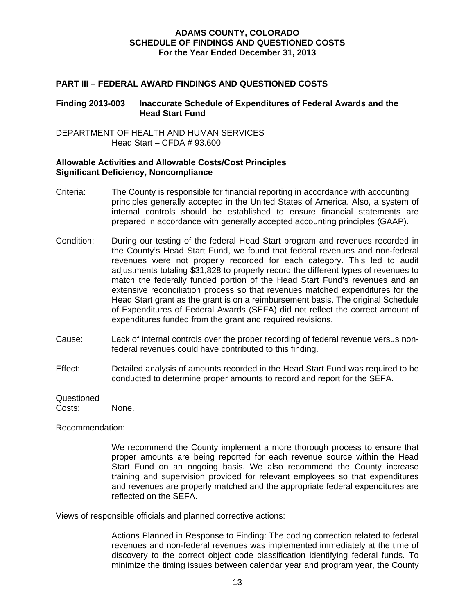## **PART III – FEDERAL AWARD FINDINGS AND QUESTIONED COSTS**

## **Finding 2013-003 Inaccurate Schedule of Expenditures of Federal Awards and the Head Start Fund**

DEPARTMENT OF HEALTH AND HUMAN SERVICES Head Start – CFDA # 93.600

## **Allowable Activities and Allowable Costs/Cost Principles Significant Deficiency, Noncompliance**

- Criteria: The County is responsible for financial reporting in accordance with accounting principles generally accepted in the United States of America. Also, a system of internal controls should be established to ensure financial statements are prepared in accordance with generally accepted accounting principles (GAAP).
- Condition: During our testing of the federal Head Start program and revenues recorded in the County's Head Start Fund, we found that federal revenues and non-federal revenues were not properly recorded for each category. This led to audit adjustments totaling \$31,828 to properly record the different types of revenues to match the federally funded portion of the Head Start Fund's revenues and an extensive reconciliation process so that revenues matched expenditures for the Head Start grant as the grant is on a reimbursement basis. The original Schedule of Expenditures of Federal Awards (SEFA) did not reflect the correct amount of expenditures funded from the grant and required revisions.
- Cause: Lack of internal controls over the proper recording of federal revenue versus nonfederal revenues could have contributed to this finding.
- Effect: Detailed analysis of amounts recorded in the Head Start Fund was required to be conducted to determine proper amounts to record and report for the SEFA.

Questioned

Costs: None.

Recommendation:

We recommend the County implement a more thorough process to ensure that proper amounts are being reported for each revenue source within the Head Start Fund on an ongoing basis. We also recommend the County increase training and supervision provided for relevant employees so that expenditures and revenues are properly matched and the appropriate federal expenditures are reflected on the SEFA.

Views of responsible officials and planned corrective actions:

Actions Planned in Response to Finding: The coding correction related to federal revenues and non-federal revenues was implemented immediately at the time of discovery to the correct object code classification identifying federal funds. To minimize the timing issues between calendar year and program year, the County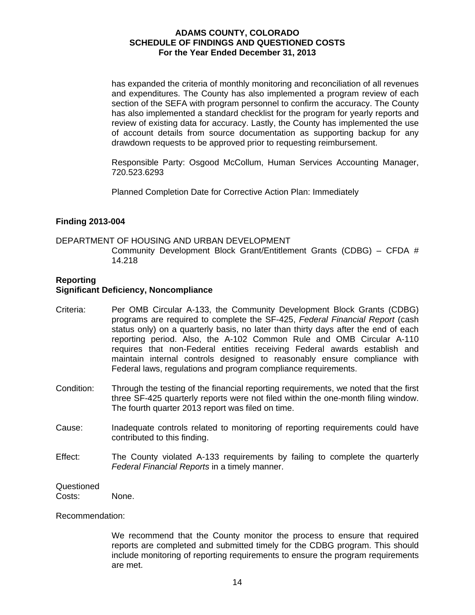has expanded the criteria of monthly monitoring and reconciliation of all revenues and expenditures. The County has also implemented a program review of each section of the SEFA with program personnel to confirm the accuracy. The County has also implemented a standard checklist for the program for yearly reports and review of existing data for accuracy. Lastly, the County has implemented the use of account details from source documentation as supporting backup for any drawdown requests to be approved prior to requesting reimbursement.

Responsible Party: Osgood McCollum, Human Services Accounting Manager, 720.523.6293

Planned Completion Date for Corrective Action Plan: Immediately

## **Finding 2013-004**

## DEPARTMENT OF HOUSING AND URBAN DEVELOPMENT Community Development Block Grant/Entitlement Grants (CDBG) – CFDA # 14.218

## **Reporting Significant Deficiency, Noncompliance**

- Criteria: Per OMB Circular A-133, the Community Development Block Grants (CDBG) programs are required to complete the SF-425, *Federal Financial Report* (cash status only) on a quarterly basis, no later than thirty days after the end of each reporting period. Also, the A-102 Common Rule and OMB Circular A-110 requires that non-Federal entities receiving Federal awards establish and maintain internal controls designed to reasonably ensure compliance with Federal laws, regulations and program compliance requirements.
- Condition: Through the testing of the financial reporting requirements, we noted that the first three SF-425 quarterly reports were not filed within the one-month filing window. The fourth quarter 2013 report was filed on time.
- Cause: Inadequate controls related to monitoring of reporting requirements could have contributed to this finding.
- Effect: The County violated A-133 requirements by failing to complete the quarterly *Federal Financial Reports* in a timely manner.

## **Questioned**

Costs: None.

#### Recommendation:

We recommend that the County monitor the process to ensure that required reports are completed and submitted timely for the CDBG program. This should include monitoring of reporting requirements to ensure the program requirements are met.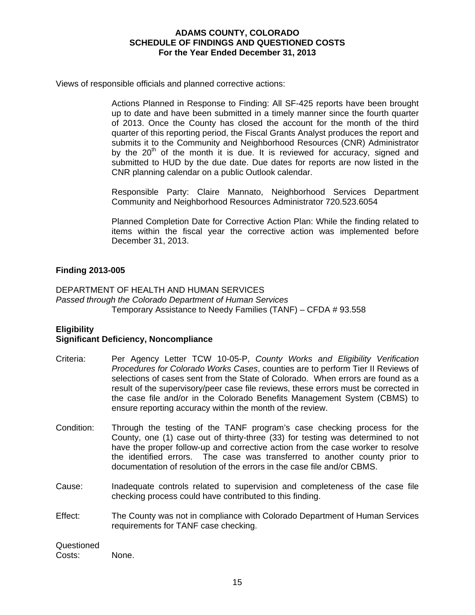Views of responsible officials and planned corrective actions:

Actions Planned in Response to Finding: All SF-425 reports have been brought up to date and have been submitted in a timely manner since the fourth quarter of 2013. Once the County has closed the account for the month of the third quarter of this reporting period, the Fiscal Grants Analyst produces the report and submits it to the Community and Neighborhood Resources (CNR) Administrator by the  $20<sup>th</sup>$  of the month it is due. It is reviewed for accuracy, signed and submitted to HUD by the due date. Due dates for reports are now listed in the CNR planning calendar on a public Outlook calendar.

Responsible Party: Claire Mannato, Neighborhood Services Department Community and Neighborhood Resources Administrator 720.523.6054

Planned Completion Date for Corrective Action Plan: While the finding related to items within the fiscal year the corrective action was implemented before December 31, 2013.

## **Finding 2013-005**

## DEPARTMENT OF HEALTH AND HUMAN SERVICES *Passed through the Colorado Department of Human Services*  Temporary Assistance to Needy Families (TANF) – CFDA # 93.558

## **Eligibility**

## **Significant Deficiency, Noncompliance**

- Criteria: Per Agency Letter TCW 10-05-P, *County Works and Eligibility Verification Procedures for Colorado Works Cases*, counties are to perform Tier II Reviews of selections of cases sent from the State of Colorado. When errors are found as a result of the supervisory/peer case file reviews, these errors must be corrected in the case file and/or in the Colorado Benefits Management System (CBMS) to ensure reporting accuracy within the month of the review.
- Condition: Through the testing of the TANF program's case checking process for the County, one (1) case out of thirty-three (33) for testing was determined to not have the proper follow-up and corrective action from the case worker to resolve the identified errors. The case was transferred to another county prior to documentation of resolution of the errors in the case file and/or CBMS.
- Cause: Inadequate controls related to supervision and completeness of the case file checking process could have contributed to this finding.
- Effect: The County was not in compliance with Colorado Department of Human Services requirements for TANF case checking.

| Questioned |       |
|------------|-------|
| Costs:     | None. |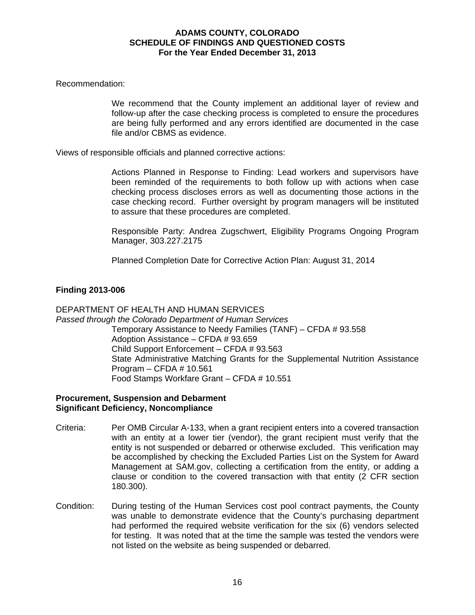## Recommendation:

We recommend that the County implement an additional layer of review and follow-up after the case checking process is completed to ensure the procedures are being fully performed and any errors identified are documented in the case file and/or CBMS as evidence.

Views of responsible officials and planned corrective actions:

Actions Planned in Response to Finding: Lead workers and supervisors have been reminded of the requirements to both follow up with actions when case checking process discloses errors as well as documenting those actions in the case checking record. Further oversight by program managers will be instituted to assure that these procedures are completed.

Responsible Party: Andrea Zugschwert, Eligibility Programs Ongoing Program Manager, 303.227.2175

Planned Completion Date for Corrective Action Plan: August 31, 2014

## **Finding 2013-006**

## DEPARTMENT OF HEALTH AND HUMAN SERVICES *Passed through the Colorado Department of Human Services*  Temporary Assistance to Needy Families (TANF) – CFDA # 93.558 Adoption Assistance – CFDA # 93.659 Child Support Enforcement – CFDA # 93.563 State Administrative Matching Grants for the Supplemental Nutrition Assistance Program – CFDA # 10.561 Food Stamps Workfare Grant – CFDA # 10.551

## **Procurement, Suspension and Debarment Significant Deficiency, Noncompliance**

- Criteria: Per OMB Circular A-133, when a grant recipient enters into a covered transaction with an entity at a lower tier (vendor), the grant recipient must verify that the entity is not suspended or debarred or otherwise excluded. This verification may be accomplished by checking the Excluded Parties List on the System for Award Management at SAM.gov, collecting a certification from the entity, or adding a clause or condition to the covered transaction with that entity (2 CFR section 180.300).
- Condition: During testing of the Human Services cost pool contract payments, the County was unable to demonstrate evidence that the County's purchasing department had performed the required website verification for the six (6) vendors selected for testing. It was noted that at the time the sample was tested the vendors were not listed on the website as being suspended or debarred.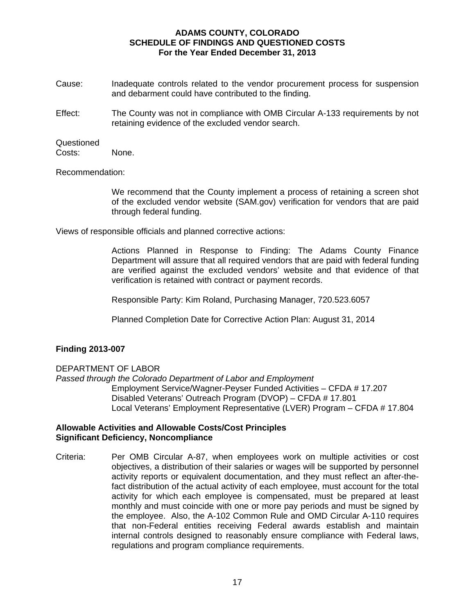- Cause: Inadequate controls related to the vendor procurement process for suspension and debarment could have contributed to the finding.
- Effect: The County was not in compliance with OMB Circular A-133 requirements by not retaining evidence of the excluded vendor search.

## Questioned

Costs: None.

Recommendation:

We recommend that the County implement a process of retaining a screen shot of the excluded vendor website (SAM.gov) verification for vendors that are paid through federal funding.

Views of responsible officials and planned corrective actions:

Actions Planned in Response to Finding: The Adams County Finance Department will assure that all required vendors that are paid with federal funding are verified against the excluded vendors' website and that evidence of that verification is retained with contract or payment records.

Responsible Party: Kim Roland, Purchasing Manager, 720.523.6057

Planned Completion Date for Corrective Action Plan: August 31, 2014

## **Finding 2013-007**

## DEPARTMENT OF LABOR

*Passed through the Colorado Department of Labor and Employment*  Employment Service/Wagner-Peyser Funded Activities – CFDA # 17.207 Disabled Veterans' Outreach Program (DVOP) – CFDA # 17.801 Local Veterans' Employment Representative (LVER) Program – CFDA # 17.804

#### **Allowable Activities and Allowable Costs/Cost Principles Significant Deficiency, Noncompliance**

Criteria: Per OMB Circular A-87, when employees work on multiple activities or cost objectives, a distribution of their salaries or wages will be supported by personnel activity reports or equivalent documentation, and they must reflect an after-thefact distribution of the actual activity of each employee, must account for the total activity for which each employee is compensated, must be prepared at least monthly and must coincide with one or more pay periods and must be signed by the employee. Also, the A-102 Common Rule and OMD Circular A-110 requires that non-Federal entities receiving Federal awards establish and maintain internal controls designed to reasonably ensure compliance with Federal laws, regulations and program compliance requirements.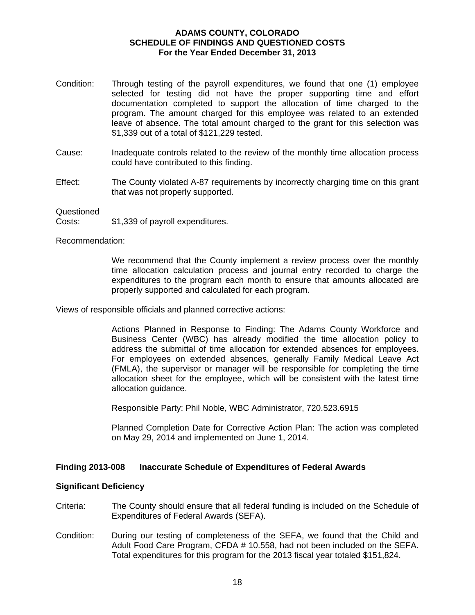- Condition: Through testing of the payroll expenditures, we found that one (1) employee selected for testing did not have the proper supporting time and effort documentation completed to support the allocation of time charged to the program. The amount charged for this employee was related to an extended leave of absence. The total amount charged to the grant for this selection was \$1,339 out of a total of \$121,229 tested.
- Cause: Inadequate controls related to the review of the monthly time allocation process could have contributed to this finding.
- Effect: The County violated A-87 requirements by incorrectly charging time on this grant that was not properly supported.

**Questioned** 

Costs: \$1,339 of payroll expenditures.

Recommendation:

We recommend that the County implement a review process over the monthly time allocation calculation process and journal entry recorded to charge the expenditures to the program each month to ensure that amounts allocated are properly supported and calculated for each program.

Views of responsible officials and planned corrective actions:

Actions Planned in Response to Finding: The Adams County Workforce and Business Center (WBC) has already modified the time allocation policy to address the submittal of time allocation for extended absences for employees. For employees on extended absences, generally Family Medical Leave Act (FMLA), the supervisor or manager will be responsible for completing the time allocation sheet for the employee, which will be consistent with the latest time allocation guidance.

Responsible Party: Phil Noble, WBC Administrator, 720.523.6915

Planned Completion Date for Corrective Action Plan: The action was completed on May 29, 2014 and implemented on June 1, 2014.

## **Finding 2013-008 Inaccurate Schedule of Expenditures of Federal Awards**

#### **Significant Deficiency**

- Criteria: The County should ensure that all federal funding is included on the Schedule of Expenditures of Federal Awards (SEFA).
- Condition: During our testing of completeness of the SEFA, we found that the Child and Adult Food Care Program, CFDA # 10.558, had not been included on the SEFA. Total expenditures for this program for the 2013 fiscal year totaled \$151,824.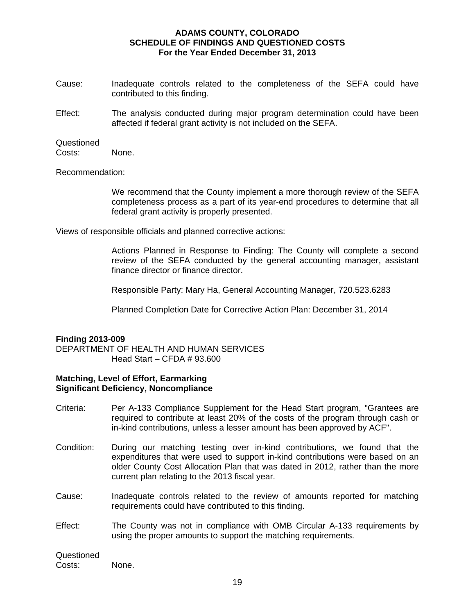- Cause: Inadequate controls related to the completeness of the SEFA could have contributed to this finding.
- Effect: The analysis conducted during major program determination could have been affected if federal grant activity is not included on the SEFA.

#### Questioned

Costs: None.

Recommendation:

We recommend that the County implement a more thorough review of the SEFA completeness process as a part of its year-end procedures to determine that all federal grant activity is properly presented.

Views of responsible officials and planned corrective actions:

Actions Planned in Response to Finding: The County will complete a second review of the SEFA conducted by the general accounting manager, assistant finance director or finance director.

Responsible Party: Mary Ha, General Accounting Manager, 720.523.6283

Planned Completion Date for Corrective Action Plan: December 31, 2014

## **Finding 2013-009**

DEPARTMENT OF HEALTH AND HUMAN SERVICES Head Start – CFDA # 93.600

#### **Matching, Level of Effort, Earmarking Significant Deficiency, Noncompliance**

- Criteria: Per A-133 Compliance Supplement for the Head Start program, "Grantees are required to contribute at least 20% of the costs of the program through cash or in-kind contributions, unless a lesser amount has been approved by ACF".
- Condition: During our matching testing over in-kind contributions, we found that the expenditures that were used to support in-kind contributions were based on an older County Cost Allocation Plan that was dated in 2012, rather than the more current plan relating to the 2013 fiscal year.
- Cause: Inadequate controls related to the review of amounts reported for matching requirements could have contributed to this finding.
- Effect: The County was not in compliance with OMB Circular A-133 requirements by using the proper amounts to support the matching requirements.

19

Questioned Costs: None.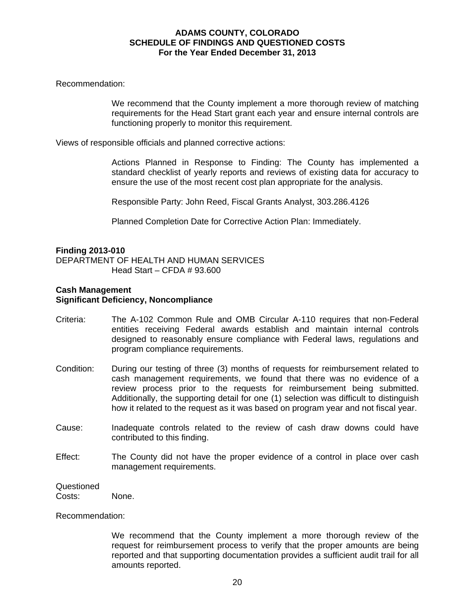Recommendation:

We recommend that the County implement a more thorough review of matching requirements for the Head Start grant each year and ensure internal controls are functioning properly to monitor this requirement.

Views of responsible officials and planned corrective actions:

Actions Planned in Response to Finding: The County has implemented a standard checklist of yearly reports and reviews of existing data for accuracy to ensure the use of the most recent cost plan appropriate for the analysis.

Responsible Party: John Reed, Fiscal Grants Analyst, 303.286.4126

Planned Completion Date for Corrective Action Plan: Immediately.

#### **Finding 2013-010**

DEPARTMENT OF HEALTH AND HUMAN SERVICES Head Start – CFDA # 93.600

## **Cash Management Significant Deficiency, Noncompliance**

- Criteria: The A-102 Common Rule and OMB Circular A-110 requires that non-Federal entities receiving Federal awards establish and maintain internal controls designed to reasonably ensure compliance with Federal laws, regulations and program compliance requirements.
- Condition: During our testing of three (3) months of requests for reimbursement related to cash management requirements, we found that there was no evidence of a review process prior to the requests for reimbursement being submitted. Additionally, the supporting detail for one (1) selection was difficult to distinguish how it related to the request as it was based on program year and not fiscal year.
- Cause: Inadequate controls related to the review of cash draw downs could have contributed to this finding.
- Effect: The County did not have the proper evidence of a control in place over cash management requirements.

#### **Questioned**

Costs: None.

Recommendation:

We recommend that the County implement a more thorough review of the request for reimbursement process to verify that the proper amounts are being reported and that supporting documentation provides a sufficient audit trail for all amounts reported.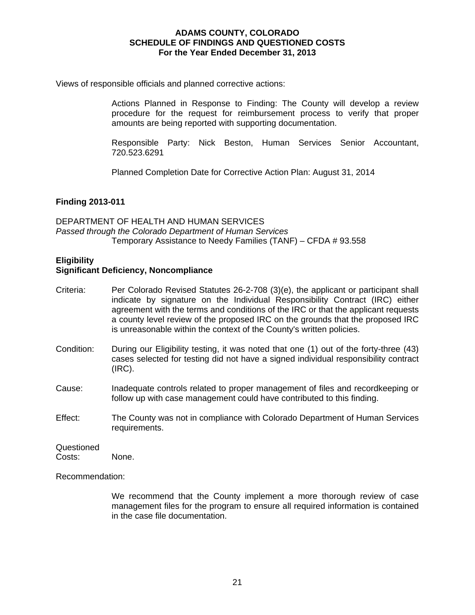Views of responsible officials and planned corrective actions:

Actions Planned in Response to Finding: The County will develop a review procedure for the request for reimbursement process to verify that proper amounts are being reported with supporting documentation.

Responsible Party: Nick Beston, Human Services Senior Accountant, 720.523.6291

Planned Completion Date for Corrective Action Plan: August 31, 2014

## **Finding 2013-011**

DEPARTMENT OF HEALTH AND HUMAN SERVICES *Passed through the Colorado Department of Human Services*  Temporary Assistance to Needy Families (TANF) – CFDA # 93.558

## **Eligibility**

## **Significant Deficiency, Noncompliance**

- Criteria: Per Colorado Revised Statutes 26-2-708 (3)(e), the applicant or participant shall indicate by signature on the Individual Responsibility Contract (IRC) either agreement with the terms and conditions of the IRC or that the applicant requests a county level review of the proposed IRC on the grounds that the proposed IRC is unreasonable within the context of the County's written policies.
- Condition: During our Eligibility testing, it was noted that one (1) out of the forty-three (43) cases selected for testing did not have a signed individual responsibility contract (IRC).
- Cause: Inadequate controls related to proper management of files and recordkeeping or follow up with case management could have contributed to this finding.
- Effect: The County was not in compliance with Colorado Department of Human Services requirements.

## Questioned

Costs: None.

Recommendation:

We recommend that the County implement a more thorough review of case management files for the program to ensure all required information is contained in the case file documentation.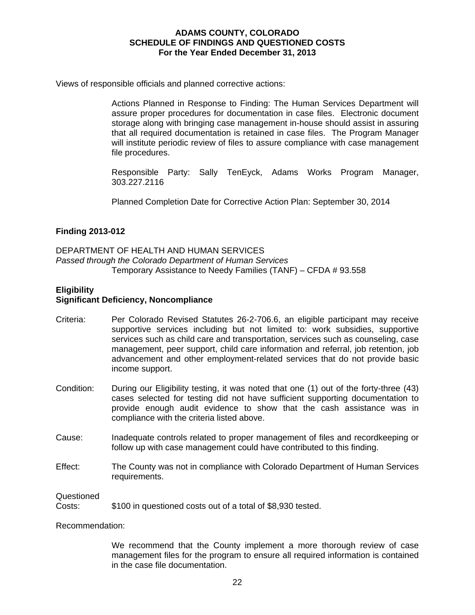Views of responsible officials and planned corrective actions:

Actions Planned in Response to Finding: The Human Services Department will assure proper procedures for documentation in case files. Electronic document storage along with bringing case management in-house should assist in assuring that all required documentation is retained in case files. The Program Manager will institute periodic review of files to assure compliance with case management file procedures.

Responsible Party: Sally TenEyck, Adams Works Program Manager, 303.227.2116

Planned Completion Date for Corrective Action Plan: September 30, 2014

## **Finding 2013-012**

DEPARTMENT OF HEALTH AND HUMAN SERVICES *Passed through the Colorado Department of Human Services*  Temporary Assistance to Needy Families (TANF) – CFDA # 93.558

## **Eligibility**

## **Significant Deficiency, Noncompliance**

- Criteria: Per Colorado Revised Statutes 26-2-706.6, an eligible participant may receive supportive services including but not limited to: work subsidies, supportive services such as child care and transportation, services such as counseling, case management, peer support, child care information and referral, job retention, job advancement and other employment-related services that do not provide basic income support.
- Condition: During our Eligibility testing, it was noted that one (1) out of the forty-three (43) cases selected for testing did not have sufficient supporting documentation to provide enough audit evidence to show that the cash assistance was in compliance with the criteria listed above.
- Cause: Inadequate controls related to proper management of files and recordkeeping or follow up with case management could have contributed to this finding.
- Effect: The County was not in compliance with Colorado Department of Human Services requirements.

**Questioned** 

| Costs: | \$100 in questioned costs out of a total of \$8,930 tested. |
|--------|-------------------------------------------------------------|
|--------|-------------------------------------------------------------|

Recommendation:

We recommend that the County implement a more thorough review of case management files for the program to ensure all required information is contained in the case file documentation.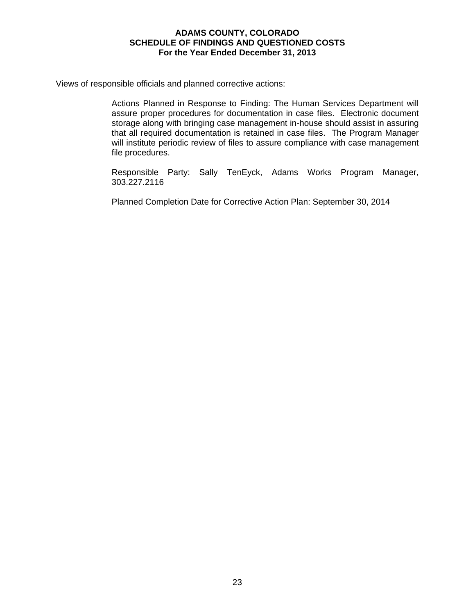Views of responsible officials and planned corrective actions:

Actions Planned in Response to Finding: The Human Services Department will assure proper procedures for documentation in case files. Electronic document storage along with bringing case management in-house should assist in assuring that all required documentation is retained in case files. The Program Manager will institute periodic review of files to assure compliance with case management file procedures.

Responsible Party: Sally TenEyck, Adams Works Program Manager, 303.227.2116

Planned Completion Date for Corrective Action Plan: September 30, 2014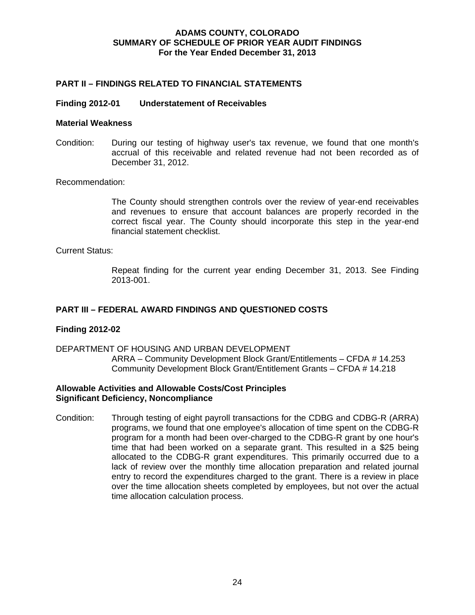## **ADAMS COUNTY, COLORADO SUMMARY OF SCHEDULE OF PRIOR YEAR AUDIT FINDINGS For the Year Ended December 31, 2013**

## **PART II – FINDINGS RELATED TO FINANCIAL STATEMENTS**

#### **Finding 2012-01 Understatement of Receivables**

#### **Material Weakness**

Condition: During our testing of highway user's tax revenue, we found that one month's accrual of this receivable and related revenue had not been recorded as of December 31, 2012.

Recommendation:

The County should strengthen controls over the review of year-end receivables and revenues to ensure that account balances are properly recorded in the correct fiscal year. The County should incorporate this step in the year-end financial statement checklist.

#### Current Status:

Repeat finding for the current year ending December 31, 2013. See Finding 2013-001.

## **PART III – FEDERAL AWARD FINDINGS AND QUESTIONED COSTS**

## **Finding 2012-02**

DEPARTMENT OF HOUSING AND URBAN DEVELOPMENT ARRA – Community Development Block Grant/Entitlements – CFDA # 14.253 Community Development Block Grant/Entitlement Grants – CFDA # 14.218

## **Allowable Activities and Allowable Costs/Cost Principles Significant Deficiency, Noncompliance**

Condition: Through testing of eight payroll transactions for the CDBG and CDBG-R (ARRA) programs, we found that one employee's allocation of time spent on the CDBG-R program for a month had been over-charged to the CDBG-R grant by one hour's time that had been worked on a separate grant. This resulted in a \$25 being allocated to the CDBG-R grant expenditures. This primarily occurred due to a lack of review over the monthly time allocation preparation and related journal entry to record the expenditures charged to the grant. There is a review in place over the time allocation sheets completed by employees, but not over the actual time allocation calculation process.